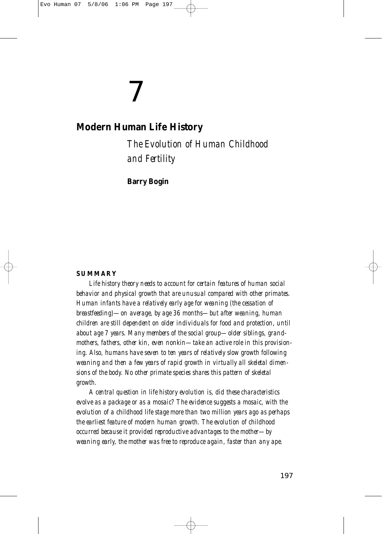# 7

# **Modern Human Life History**

*The Evolution of Human Childhood and Fertility*

**Barry Bogin**

# **SUMMARY**

*Life history theory needs to account for certain features of human social behavior and physical growth that are unusual compared with other primates. Human infants have a relatively early age for weaning (the cessation of breastfeeding)—on average, by age 36 months—but after weaning, human children are still dependent on older individuals for food and protection, until about age 7 years. Many members of the social group—older siblings, grandmothers, fathers, other kin, even nonkin—take an active role in this provisioning. Also, humans have seven to ten years of relatively slow growth following weaning and then a few years of rapid growth in virtually all skeletal dimensions of the body. No other primate species shares this pattern of skeletal growth.*

*A central question in life history evolution is, did these characteristics evolve as a package or as a mosaic? The evidence suggests a mosaic, with the evolution of a childhood life stage more than two million years ago as perhaps the earliest feature of modern human growth. The evolution of childhood occurred because it provided reproductive advantages to the mother—by weaning early, the mother was free to reproduce again, faster than any ape.*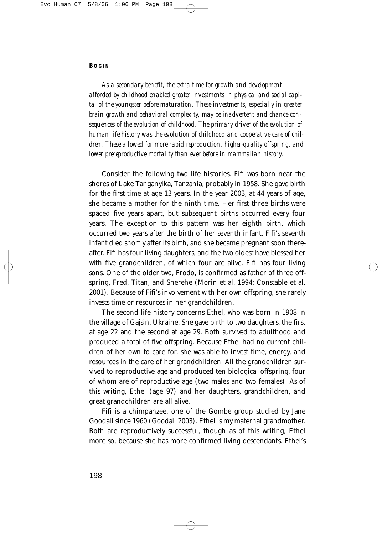*As a secondary benefit, the extra time for growth and development afforded by childhood enabled greater investments in physical and social capital of the youngster before maturation. These investments, especially in greater brain growth and behavioral complexity, may be inadvertent and chance consequences of the evolution of childhood. The primary driver of the evolution of human life history was the evolution of childhood and cooperative care of children. These allowed for more rapid reproduction, higher-quality offspring, and lower prereproductive mortality than ever before in mammalian history.*

Consider the following two life histories. Fifi was born near the shores of Lake Tanganyika, Tanzania, probably in 1958. She gave birth for the first time at age 13 years. In the year 2003, at 44 years of age, she became a mother for the ninth time. Her first three births were spaced five years apart, but subsequent births occurred every four years. The exception to this pattern was her eighth birth, which occurred two years after the birth of her seventh infant. Fifi's seventh infant died shortly after its birth, and she became pregnant soon thereafter. Fifi has four living daughters, and the two oldest have blessed her with five grandchildren, of which four are alive. Fifi has four living sons. One of the older two, Frodo, is confirmed as father of three offspring, Fred, Titan, and Sherehe (Morin et al. 1994; Constable et al. 2001). Because of Fifi's involvement with her own offspring, she rarely invests time or resources in her grandchildren.

The second life history concerns Ethel, who was born in 1908 in the village of Gajsin, Ukraine. She gave birth to two daughters, the first at age 22 and the second at age 29. Both survived to adulthood and produced a total of five offspring. Because Ethel had no current children of her own to care for, she was able to invest time, energy, and resources in the care of her grandchildren. All the grandchildren survived to reproductive age and produced ten biological offspring, four of whom are of reproductive age (two males and two females). As of this writing, Ethel (age 97) and her daughters, grandchildren, and great grandchildren are all alive.

Fifi is a chimpanzee, one of the Gombe group studied by Jane Goodall since 1960 (Goodall 2003). Ethel is my maternal grandmother. Both are reproductively successful, though as of this writing, Ethel more so, because she has more confirmed living descendants. Ethel's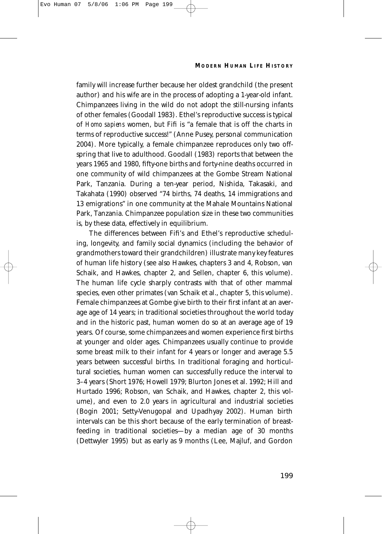family will increase further because her oldest grandchild (the present author) and his wife are in the process of adopting a 1-year-old infant. Chimpanzees living in the wild do not adopt the still-nursing infants of other females (Goodall 1983). Ethel's reproductive success is typical of *Homo sapiens* women, but Fifi is "a female that is off the charts in terms of reproductive success!" (Anne Pusey, personal communication 2004). More typically, a female chimpanzee reproduces only two offspring that live to adulthood. Goodall (1983) reports that between the years 1965 and 1980, fifty-one births and forty-nine deaths occurred in one community of wild chimpanzees at the Gombe Stream National Park, Tanzania. During a ten-year period, Nishida, Takasaki, and Takahata (1990) observed "74 births, 74 deaths, 14 immigrations and 13 emigrations" in one community at the Mahale Mountains National Park, Tanzania. Chimpanzee population size in these two communities is, by these data, effectively in equilibrium.

Evo Human 07  $5/8/06$  1:06

The differences between Fifi's and Ethel's reproductive scheduling, longevity, and family social dynamics (including the behavior of grandmothers toward their grandchildren) illustrate many key features of human life history (see also Hawkes, chapters 3 and 4, Robson, van Schaik, and Hawkes, chapter 2, and Sellen, chapter 6, this volume). The human life cycle sharply contrasts with that of other mammal species, even other primates (van Schaik et al., chapter 5, this volume). Female chimpanzees at Gombe give birth to their first infant at an average age of 14 years; in traditional societies throughout the world today and in the historic past, human women do so at an average age of 19 years. Of course, some chimpanzees and women experience first births at younger and older ages. Chimpanzees usually continue to provide some breast milk to their infant for 4 years or longer and average 5.5 years between successful births. In traditional foraging and horticultural societies, human women can successfully reduce the interval to 3–4 years (Short 1976; Howell 1979; Blurton Jones et al. 1992; Hill and Hurtado 1996; Robson, van Schaik, and Hawkes, chapter 2, this volume), and even to 2.0 years in agricultural and industrial societies (Bogin 2001; Setty-Venugopal and Upadhyay 2002). Human birth intervals can be this short because of the early termination of breastfeeding in traditional societies—by a median age of 30 months (Dettwyler 1995) but as early as 9 months (Lee, Majluf, and Gordon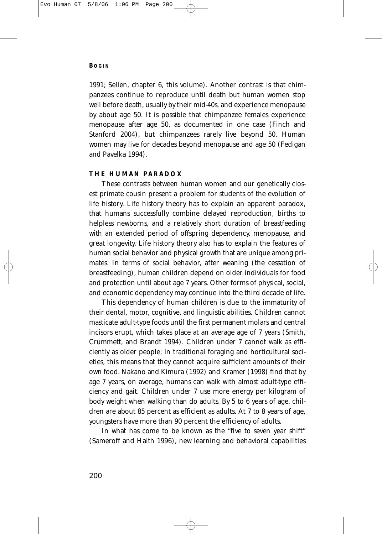1991; Sellen, chapter 6, this volume). Another contrast is that chimpanzees continue to reproduce until death but human women stop well before death, usually by their mid-40s, and experience menopause by about age 50. It is possible that chimpanzee females experience menopause after age 50, as documented in one case (Finch and Stanford 2004), but chimpanzees rarely live beyond 50. Human women may live for decades beyond menopause and age 50 (Fedigan and Pavelka 1994).

# **THE HUMAN PARADOX**

These contrasts between human women and our genetically closest primate cousin present a problem for students of the evolution of life history. Life history theory has to explain an apparent paradox, that humans successfully combine delayed reproduction, births to helpless newborns, and a relatively short duration of breastfeeding with an extended period of offspring dependency, menopause, and great longevity. Life history theory also has to explain the features of human social behavior and physical growth that are unique among primates. In terms of social behavior, after weaning (the cessation of breastfeeding), human children depend on older individuals for food and protection until about age 7 years. Other forms of physical, social, and economic dependency may continue into the third decade of life.

This dependency of human children is due to the immaturity of their dental, motor, cognitive, and linguistic abilities. Children cannot masticate adult-type foods until the first permanent molars and central incisors erupt, which takes place at an average age of 7 years (Smith, Crummett, and Brandt 1994). Children under 7 cannot walk as efficiently as older people; in traditional foraging and horticultural societies, this means that they cannot acquire sufficient amounts of their own food. Nakano and Kimura (1992) and Kramer (1998) find that by age 7 years, on average, humans can walk with almost adult-type efficiency and gait. Children under 7 use more energy per kilogram of body weight when walking than do adults. By 5 to 6 years of age, children are about 85 percent as efficient as adults. At 7 to 8 years of age, youngsters have more than 90 percent the efficiency of adults.

In what has come to be known as the "five to seven year shift" (Sameroff and Haith 1996), new learning and behavioral capabilities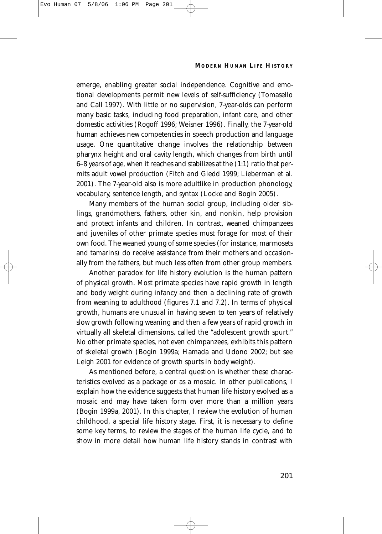emerge, enabling greater social independence. Cognitive and emotional developments permit new levels of self-sufficiency (Tomasello and Call 1997). With little or no supervision, 7-year-olds can perform many basic tasks, including food preparation, infant care, and other domestic activities (Rogoff 1996; Weisner 1996). Finally, the 7-year-old human achieves new competencies in speech production and language usage. One quantitative change involves the relationship between pharynx height and oral cavity length, which changes from birth until 6–8 years of age, when it reaches and stabilizes at the (1:1) ratio that permits adult vowel production (Fitch and Giedd 1999; Lieberman et al. 2001). The 7-year-old also is more adultlike in production phonology, vocabulary, sentence length, and syntax (Locke and Bogin 2005).

Evo Human 07 5/8/06 1:06 PM Page 201

Many members of the human social group, including older siblings, grandmothers, fathers, other kin, and nonkin, help provision and protect infants and children. In contrast, weaned chimpanzees and juveniles of other primate species must forage for most of their own food. The weaned young of some species (for instance, marmosets and tamarins) do receive assistance from their mothers and occasionally from the fathers, but much less often from other group members.

Another paradox for life history evolution is the human pattern of physical growth. Most primate species have rapid growth in length and body weight during infancy and then a declining rate of growth from weaning to adulthood (figures 7.1 and 7.2). In terms of physical growth, humans are unusual in having seven to ten years of relatively slow growth following weaning and then a few years of rapid growth in virtually all skeletal dimensions, called the "adolescent growth spurt." No other primate species, not even chimpanzees, exhibits this pattern of skeletal growth (Bogin 1999a; Hamada and Udono 2002; but see Leigh 2001 for evidence of growth spurts in body weight).

As mentioned before, a central question is whether these characteristics evolved as a package or as a mosaic. In other publications, I explain how the evidence suggests that human life history evolved as a mosaic and may have taken form over more than a million years (Bogin 1999a, 2001). In this chapter, I review the evolution of human childhood, a special life history stage. First, it is necessary to define some key terms, to review the stages of the human life cycle, and to show in more detail how human life history stands in contrast with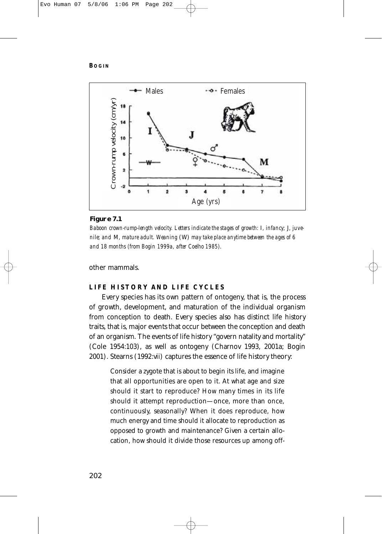



#### **Figure 7.1**

*Baboon crown-rump-length velocity. Letters indicate the stages of growth:* I*, infancy;* J*, juvenile; and* M*, mature adult. Weaning* (W) *may take place anytime between the ages of 6 and 18 months (from Bogin 1999a, after Coelho 1985).*

other mammals.

# **LIFE HISTORY AND LIFE CYCLES**

Every species has its own pattern of ontogeny, that is, the process of growth, development, and maturation of the individual organism from conception to death. Every species also has distinct life history traits, that is, major events that occur between the conception and death of an organism. The events of life history "govern natality and mortality" (Cole 1954:103), as well as ontogeny (Charnov 1993, 2001a; Bogin 2001). Stearns (1992:vii) captures the essence of life history theory:

Consider a zygote that is about to begin its life, and imagine that all opportunities are open to it. At what age and size should it start to reproduce? How many times in its life should it attempt reproduction—once, more than once, continuously, seasonally? When it does reproduce, how much energy and time should it allocate to reproduction as opposed to growth and maintenance? Given a certain allocation, how should it divide those resources up among off-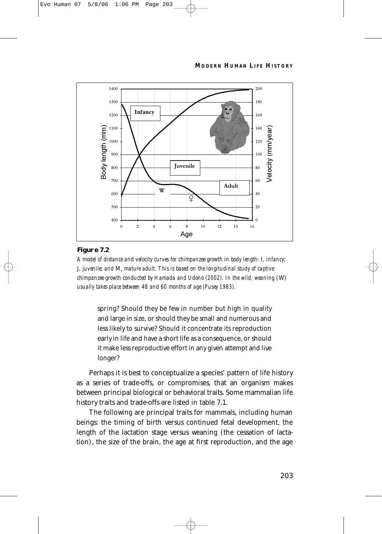1400 200 1300 180 **Infancy** 1200 160 1100 Body length (mm) Body length (mm) 140 Velocity (mm/year) (mm/year 1000 120 100 900 Velocity **Juvenile** 800 80 700 60 **Adult W** 600 40 ʐ 20 500 400  $\Omega$ 0 2 4 6 8 10 12 14 16 Age

## **Figure 7.2**

*A model of distance and velocity curves for chimpanzee growth in body length:* I*, infancy;*  J*, juvenile; and* M*, mature adult. This is based on the longitudinal study of captive chimpanzee growth conducted by Hamada and Udono (2002). In the wild, weaning (W) usually takes place between 48 and 60 months of age (Pusey 1983).*

spring? Should they be few in number but high in quality and large in size, or should they be small and numerous and less likely to survive? Should it concentrate its reproduction early in life and have a short life as a consequence, or should it make less reproductive effort in any given attempt and live longer?

Perhaps it is best to conceptualize a species' pattern of life history as a series of trade-offs, or compromises, that an organism makes between principal biological or behavioral traits. Some mammalian life history traits and trade-offs are listed in table 7.1.

The following are principal traits for mammals, including human beings: the timing of birth versus continued fetal development, the length of the lactation stage versus weaning (the cessation of lactation), the size of the brain, the age at first reproduction, and the age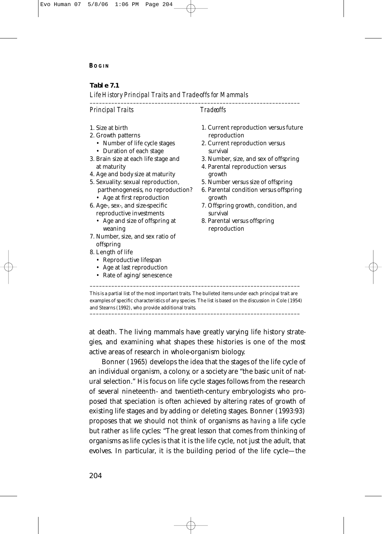# **Table 7.1**

*Life History Principal Traits and Trade-offs for Mammals*

| <b>Principal Traits</b>                                                                                                                                             | <b>Tradeoffs</b>                       |
|---------------------------------------------------------------------------------------------------------------------------------------------------------------------|----------------------------------------|
| 1. Size at birth                                                                                                                                                    | 1. Current reproduction versus future  |
| 2. Growth patterns                                                                                                                                                  | reproduction                           |
| • Number of life cycle stages                                                                                                                                       | 2. Current reproduction versus         |
| • Duration of each stage                                                                                                                                            | survival                               |
| 3. Brain size at each life stage and                                                                                                                                | 3. Number, size, and sex of offspring  |
| at maturity                                                                                                                                                         | 4. Parental reproduction versus        |
| 4. Age and body size at maturity                                                                                                                                    | growth                                 |
| 5. Sexuality: sexual reproduction,                                                                                                                                  | 5. Number versus size of offspring     |
| parthenogenesis, no reproduction?                                                                                                                                   | 6. Parental condition versus offspring |
| • Age at first reproduction                                                                                                                                         | growth                                 |
| 6. Age-, sex-, and size-specific                                                                                                                                    | 7. Offspring growth, condition, and    |
| reproductive investments                                                                                                                                            | survival                               |
| • Age and size of offspring at                                                                                                                                      | 8. Parental versus offspring           |
| weaning<br>7. Number, size, and sex ratio of<br>offspring<br>8. Length of life<br>• Reproductive lifespan<br>• Age at last reproduction<br>Rate of aging/senescence | reproduction                           |

This is a partial list of the most important traits. The bulleted items under each principal trait are examples of specific characteristics of any species. The list is based on the discussion in Cole (1954) and Stearns (1992), who provide additional traits. ––––––––––––––––––––––––––––––––––––––––––––––––––––––––––––––––––––

at death. The living mammals have greatly varying life history strategies, and examining what shapes these histories is one of the most active areas of research in whole-organism biology.

Bonner (1965) develops the idea that the stages of the life cycle of an individual organism, a colony, or a society are "the basic unit of natural selection." His focus on life cycle stages follows from the research of several nineteenth- and twentieth-century embryologists who proposed that speciation is often achieved by altering rates of growth of existing life stages and by adding or deleting stages. Bonner (1993:93) proposes that we should not think of organisms as *having* a life cycle but rather *as* life cycles: "The great lesson that comes from thinking of organisms as life cycles is that it is the life cycle, not just the adult, that evolves. In particular, it is the building period of the life cycle—the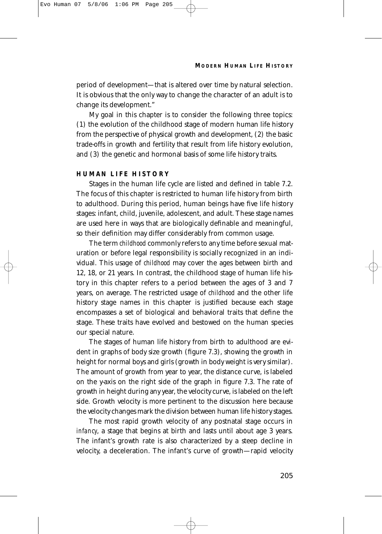period of development—that is altered over time by natural selection. It is obvious that the only way to change the character of an adult is to change its development."

My goal in this chapter is to consider the following three topics: (1) the evolution of the childhood stage of modern human life history from the perspective of physical growth and development, (2) the basic trade-offs in growth and fertility that result from life history evolution, and (3) the genetic and hormonal basis of some life history traits.

## **HUMAN LIFE HISTORY**

Stages in the human life cycle are listed and defined in table 7.2. The focus of this chapter is restricted to human life history from birth to adulthood. During this period, human beings have five life history stages: infant, child, juvenile, adolescent, and adult. These stage names are used here in ways that are biologically definable and meaningful, so their definition may differ considerably from common usage.

The term *childhood* commonly refers to any time before sexual maturation or before legal responsibility is socially recognized in an individual. This usage of *childhood* may cover the ages between birth and 12, 18, or 21 years. In contrast, the childhood stage of human life history in this chapter refers to a period between the ages of 3 and 7 years, on average. The restricted usage of *childhood* and the other life history stage names in this chapter is justified because each stage encompasses a set of biological and behavioral traits that define the stage. These traits have evolved and bestowed on the human species our special nature.

The stages of human life history from birth to adulthood are evident in graphs of body size growth (figure 7.3), showing the growth in height for normal boys and girls (growth in body weight is very similar). The amount of growth from year to year, the distance curve, is labeled on the y-axis on the right side of the graph in figure 7.3. The rate of growth in height during any year, the velocity curve, is labeled on the left side. Growth velocity is more pertinent to the discussion here because the velocity changes mark the division between human life history stages.

The most rapid growth velocity of any postnatal stage occurs in *infancy*, a stage that begins at birth and lasts until about age 3 years. The infant's growth rate is also characterized by a steep decline in velocity, a deceleration. The infant's curve of growth—rapid velocity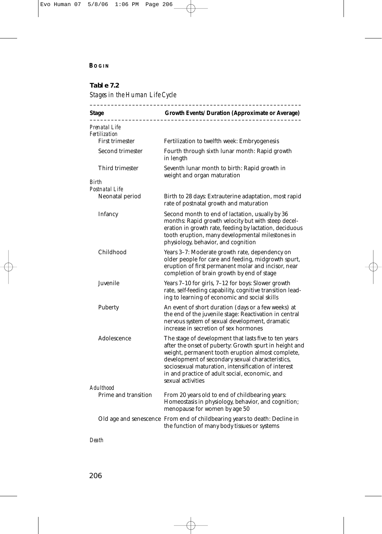# **Table 7.2**  *Stages in the Human Life Cycle*

| Stage                          | <b>Growth Events/Duration (Approximate or Average)</b>                                                                                                                                                                                                                                                                                                 |
|--------------------------------|--------------------------------------------------------------------------------------------------------------------------------------------------------------------------------------------------------------------------------------------------------------------------------------------------------------------------------------------------------|
| Prenatal Life<br>Fertilization |                                                                                                                                                                                                                                                                                                                                                        |
| <b>First trimester</b>         | Fertilization to twelfth week: Embryogenesis                                                                                                                                                                                                                                                                                                           |
| Second trimester               | Fourth through sixth lunar month: Rapid growth<br>in length                                                                                                                                                                                                                                                                                            |
| Third trimester                | Seventh lunar month to birth: Rapid growth in<br>weight and organ maturation                                                                                                                                                                                                                                                                           |
| Birth                          |                                                                                                                                                                                                                                                                                                                                                        |
| Postnatal Life                 |                                                                                                                                                                                                                                                                                                                                                        |
| Neonatal period                | Birth to 28 days: Extrauterine adaptation, most rapid<br>rate of postnatal growth and maturation                                                                                                                                                                                                                                                       |
| <b>Infancy</b>                 | Second month to end of lactation, usually by 36<br>months: Rapid growth velocity but with steep decel-<br>eration in growth rate, feeding by lactation, deciduous<br>tooth eruption, many developmental milestones in<br>physiology, behavior, and cognition                                                                                           |
| Childhood                      | Years 3-7: Moderate growth rate, dependency on<br>older people for care and feeding, midgrowth spurt,<br>eruption of first permanent molar and incisor, near<br>completion of brain growth by end of stage                                                                                                                                             |
| Juvenile                       | Years 7-10 for girls, 7-12 for boys: Slower growth<br>rate, self-feeding capability, cognitive transition lead-<br>ing to learning of economic and social skills                                                                                                                                                                                       |
| Puberty                        | An event of short duration (days or a few weeks) at<br>the end of the juvenile stage: Reactivation in central<br>nervous system of sexual development, dramatic<br>increase in secretion of sex hormones                                                                                                                                               |
| Adolescence                    | The stage of development that lasts five to ten years<br>after the onset of puberty: Growth spurt in height and<br>weight, permanent tooth eruption almost complete,<br>development of secondary sexual characteristics,<br>sociosexual maturation, intensification of interest<br>in and practice of adult social, economic, and<br>sexual activities |
| Adulthood                      |                                                                                                                                                                                                                                                                                                                                                        |
| Prime and transition           | From 20 years old to end of childbearing years:<br>Homeostasis in physiology, behavior, and cognition;<br>menopause for women by age 50                                                                                                                                                                                                                |
|                                | Old age and senescence From end of childbearing years to death: Decline in<br>the function of many body tissues or systems                                                                                                                                                                                                                             |

 $\oplus$ 

*Death*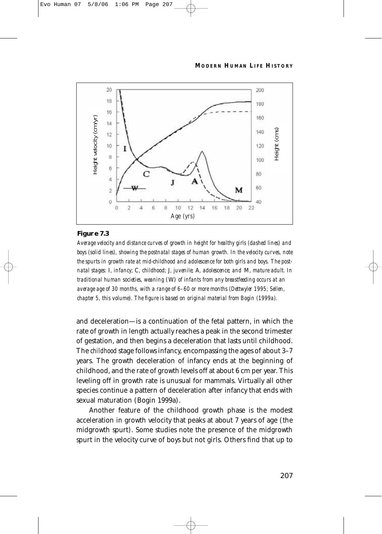

# **Figure 7.3**

*Average velocity and distance curves of growth in height for healthy girls (dashed lines) and boys (solid lines), showing the postnatal stages of human growth. In the velocity curves, note the spurts in growth rate at mid-childhood and adolescence for both girls and boys. The postnatal stages:* I*, infancy;* C*, childhood;* J*, juvenile;* A*, adolescence; and* M*, mature adult. In traditional human societies, weaning* (W) *of infants from any breastfeeding occurs at an average age of 30 months, with a range of 6–60 or more months (Dettwyler 1995; Sellen, chapter 5, this volume). The figure is based on original material from Bogin (1999a).*

and deceleration—is a continuation of the fetal pattern, in which the rate of growth in length actually reaches a peak in the second trimester of gestation, and then begins a deceleration that lasts until childhood. The *childhood* stage follows infancy, encompassing the ages of about 3–7 years. The growth deceleration of infancy ends at the beginning of childhood, and the rate of growth levels off at about 6 cm per year. This leveling off in growth rate is unusual for mammals. Virtually all other species continue a pattern of deceleration after infancy that ends with sexual maturation (Bogin 1999a).

Another feature of the childhood growth phase is the modest acceleration in growth velocity that peaks at about 7 years of age (the midgrowth spurt). Some studies note the presence of the midgrowth spurt in the velocity curve of boys but not girls. Others find that up to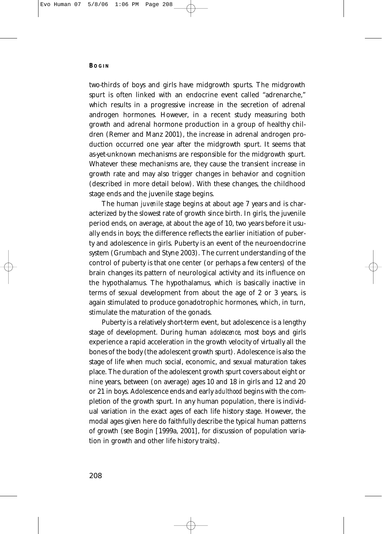two-thirds of boys and girls have midgrowth spurts. The midgrowth spurt is often linked with an endocrine event called "adrenarche," which results in a progressive increase in the secretion of adrenal androgen hormones. However, in a recent study measuring both growth and adrenal hormone production in a group of healthy children (Remer and Manz 2001), the increase in adrenal androgen production occurred one year after the midgrowth spurt. It seems that as-yet-unknown mechanisms are responsible for the midgrowth spurt. Whatever these mechanisms are, they cause the transient increase in growth rate and may also trigger changes in behavior and cognition (described in more detail below). With these changes, the childhood stage ends and the juvenile stage begins.

The human *juvenile* stage begins at about age 7 years and is characterized by the slowest rate of growth since birth. In girls, the juvenile period ends, on average, at about the age of 10, two years before it usually ends in boys; the difference reflects the earlier initiation of puberty and adolescence in girls. Puberty is an event of the neuroendocrine system (Grumbach and Styne 2003). The current understanding of the control of puberty is that one center (or perhaps a few centers) of the brain changes its pattern of neurological activity and its influence on the hypothalamus. The hypothalamus, which is basically inactive in terms of sexual development from about the age of 2 or 3 years, is again stimulated to produce gonadotrophic hormones, which, in turn, stimulate the maturation of the gonads.

Puberty is a relatively short-term event, but adolescence is a lengthy stage of development. During human *adolescence*, most boys and girls experience a rapid acceleration in the growth velocity of virtually all the bones of the body (the adolescent growth spurt). Adolescence is also the stage of life when much social, economic, and sexual maturation takes place. The duration of the adolescent growth spurt covers about eight or nine years, between (on average) ages 10 and 18 in girls and 12 and 20 or 21 in boys. Adolescence ends and early *adulthood* begins with the completion of the growth spurt. In any human population, there is individual variation in the exact ages of each life history stage. However, the modal ages given here do faithfully describe the typical human patterns of growth (see Bogin [1999a, 2001], for discussion of population variation in growth and other life history traits).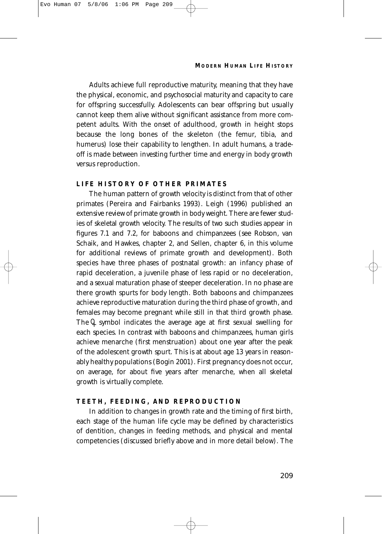Adults achieve full reproductive maturity, meaning that they have the physical, economic, and psychosocial maturity and capacity to care for offspring successfully. Adolescents can bear offspring but usually cannot keep them alive without significant assistance from more competent adults. With the onset of adulthood, growth in height stops because the long bones of the skeleton (the femur, tibia, and humerus) lose their capability to lengthen. In adult humans, a tradeoff is made between investing further time and energy in body growth versus reproduction.

# **LIFE HISTORY OF OTHER PRIMATES**

The human pattern of growth velocity is distinct from that of other primates (Pereira and Fairbanks 1993). Leigh (1996) published an extensive review of primate growth in body weight. There are fewer studies of skeletal growth velocity. The results of two such studies appear in figures 7.1 and 7.2, for baboons and chimpanzees (see Robson, van Schaik, and Hawkes, chapter 2, and Sellen, chapter 6, in this volume for additional reviews of primate growth and development). Both species have three phases of postnatal growth: an infancy phase of rapid deceleration, a juvenile phase of less rapid or no deceleration, and a sexual maturation phase of steeper deceleration. In no phase are there growth spurts for body length. Both baboons and chimpanzees achieve reproductive maturation during the third phase of growth, and females may become pregnant while still in that third growth phase. The  $Q$  symbol indicates the average age at first sexual swelling for each species. In contrast with baboons and chimpanzees, human girls achieve menarche (first menstruation) about one year after the peak of the adolescent growth spurt. This is at about age 13 years in reasonably healthy populations (Bogin 2001). First pregnancy does not occur, on average, for about five years after menarche, when all skeletal growth is virtually complete.

# **TEETH, FEEDING, AND REPRODUCTION**

In addition to changes in growth rate and the timing of first birth, each stage of the human life cycle may be defined by characteristics of dentition, changes in feeding methods, and physical and mental competencies (discussed briefly above and in more detail below). The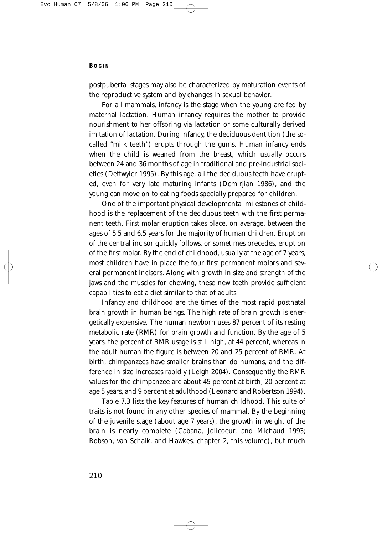postpubertal stages may also be characterized by maturation events of the reproductive system and by changes in sexual behavior.

For all mammals, infancy is the stage when the young are fed by maternal lactation. Human infancy requires the mother to provide nourishment to her offspring via lactation or some culturally derived imitation of lactation. During infancy, the deciduous dentition (the socalled "milk teeth") erupts through the gums. Human infancy ends when the child is weaned from the breast, which usually occurs between 24 and 36 months of age in traditional and pre-industrial societies (Dettwyler 1995). By this age, all the deciduous teeth have erupted, even for very late maturing infants (Demirjian 1986), and the young can move on to eating foods specially prepared for children.

One of the important physical developmental milestones of childhood is the replacement of the deciduous teeth with the first permanent teeth. First molar eruption takes place, on average, between the ages of 5.5 and 6.5 years for the majority of human children. Eruption of the central incisor quickly follows, or sometimes precedes, eruption of the first molar. By the end of childhood, usually at the age of 7 years, most children have in place the four first permanent molars and several permanent incisors. Along with growth in size and strength of the jaws and the muscles for chewing, these new teeth provide sufficient capabilities to eat a diet similar to that of adults.

Infancy and childhood are the times of the most rapid postnatal brain growth in human beings. The high rate of brain growth is energetically expensive. The human newborn uses 87 percent of its resting metabolic rate (RMR) for brain growth and function. By the age of 5 years, the percent of RMR usage is still high, at 44 percent, whereas in the adult human the figure is between 20 and 25 percent of RMR. At birth, chimpanzees have smaller brains than do humans, and the difference in size increases rapidly (Leigh 2004). Consequently, the RMR values for the chimpanzee are about 45 percent at birth, 20 percent at age 5 years, and 9 percent at adulthood (Leonard and Robertson 1994).

Table 7.3 lists the key features of human childhood. This suite of traits is not found in any other species of mammal. By the beginning of the juvenile stage (about age 7 years), the growth in weight of the brain is nearly complete (Cabana, Jolicoeur, and Michaud 1993; Robson, van Schaik, and Hawkes, chapter 2, this volume), but much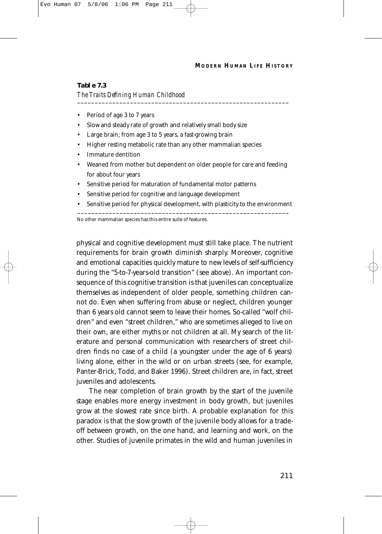# **Table 7.3**  *The Traits Defining Human Childhood*

- Period of age 3 to 7 years
- Slow and steady rate of growth and relatively small body size
- Large brain; from age 3 to 5 years, a fast-growing brain
- Higher resting metabolic rate than any other mammalian species
- Immature dentition
- Weaned from mother but dependent on older people for care and feeding for about four years

––––––––––––––––––––––––––––––––––––––––––––––––––––––––––––

- Sensitive period for maturation of fundamental motor patterns
- Sensitive period for cognitive and language development
- Sensitive period for physical development, with plasticity to the environment

–––––––––––––––––––––––––––––––––––––––––––––––––––––––––––– No other mammalian species has this entire suite of features.

physical and cognitive development must still take place. The nutrient requirements for brain growth diminish sharply. Moreover, cognitive and emotional capacities quickly mature to new levels of self-sufficiency during the "5-to-7-years-old transition" (see above). An important consequence of this cognitive transition is that juveniles can conceptualize themselves as independent of older people, something children cannot do. Even when suffering from abuse or neglect, children younger than 6 years old cannot seem to leave their homes. So-called "wolf children" and even "street children," who are sometimes alleged to live on their own, are either myths or not children at all. My search of the literature and personal communication with researchers of street children finds no case of a child (a youngster under the age of 6 years) living alone, either in the wild or on urban streets (see, for example, Panter-Brick, Todd, and Baker 1996). Street children are, in fact, street juveniles and adolescents.

The near completion of brain growth by the start of the juvenile stage enables more energy investment in body growth, but juveniles grow at the slowest rate since birth. A probable explanation for this paradox is that the slow growth of the juvenile body allows for a tradeoff between growth, on the one hand, and learning and work, on the other. Studies of juvenile primates in the wild and human juveniles in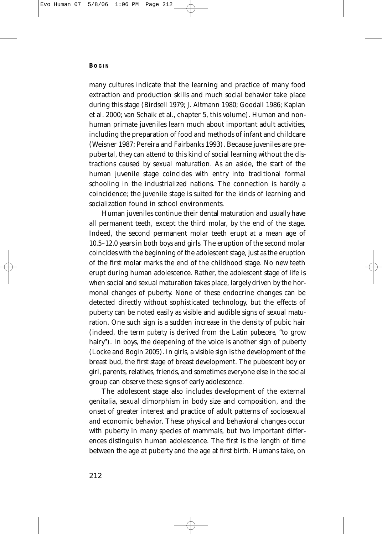many cultures indicate that the learning and practice of many food extraction and production skills and much social behavior take place during this stage (Birdsell 1979; J. Altmann 1980; Goodall 1986; Kaplan et al. 2000; van Schaik et al., chapter 5, this volume). Human and nonhuman primate juveniles learn much about important adult activities, including the preparation of food and methods of infant and childcare (Weisner 1987; Pereira and Fairbanks 1993). Because juveniles are prepubertal, they can attend to this kind of social learning without the distractions caused by sexual maturation. As an aside, the start of the human juvenile stage coincides with entry into traditional formal schooling in the industrialized nations. The connection is hardly a coincidence; the juvenile stage is suited for the kinds of learning and socialization found in school environments.

Human juveniles continue their dental maturation and usually have all permanent teeth, except the third molar, by the end of the stage. Indeed, the second permanent molar teeth erupt at a mean age of 10.5–12.0 years in both boys and girls. The eruption of the second molar coincides with the beginning of the adolescent stage, just as the eruption of the first molar marks the end of the childhood stage. No new teeth erupt during human adolescence. Rather, the adolescent stage of life is when social and sexual maturation takes place, largely driven by the hormonal changes of puberty. None of these endocrine changes can be detected directly without sophisticated technology, but the effects of puberty can be noted easily as visible and audible signs of sexual maturation. One such sign is a sudden increase in the density of pubic hair (indeed, the term *puberty* is derived from the Latin *pubescere*, "to grow hairy"). In boys, the deepening of the voice is another sign of puberty (Locke and Bogin 2005). In girls, a visible sign is the development of the breast bud, the first stage of breast development. The pubescent boy or girl, parents, relatives, friends, and sometimes everyone else in the social group can observe these signs of early adolescence.

The adolescent stage also includes development of the external genitalia, sexual dimorphism in body size and composition, and the onset of greater interest and practice of adult patterns of sociosexual and economic behavior. These physical and behavioral changes occur with puberty in many species of mammals, but two important differences distinguish human adolescence. The first is the length of time between the age at puberty and the age at first birth. Humans take, on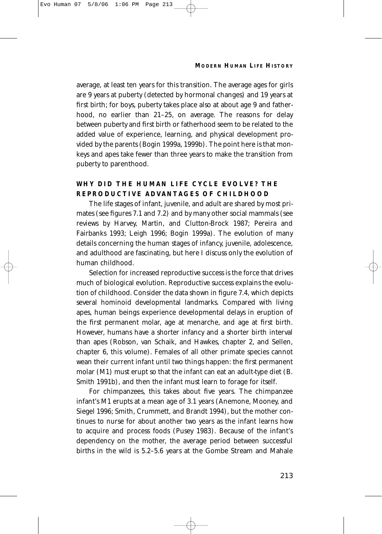average, at least ten years for this transition. The average ages for girls are 9 years at puberty (detected by hormonal changes) and 19 years at first birth; for boys, puberty takes place also at about age 9 and fatherhood, no earlier than 21–25, on average. The reasons for delay between puberty and first birth or fatherhood seem to be related to the added value of experience, learning, and physical development provided by the parents (Bogin 1999a, 1999b). The point here is that monkeys and apes take fewer than three years to make the transition from puberty to parenthood.

Evo Human 07 5/8/06 1:06 PM Page 213

# **WHY DID THE HUMAN LIFE CYCLE EVOLVE? THE REPRODUCTIVE ADVANTAGES OF CHILDHOOD**

The life stages of infant, juvenile, and adult are shared by most primates (see figures 7.1 and 7.2) and by many other social mammals (see reviews by Harvey, Martin, and Clutton-Brock 1987; Pereira and Fairbanks 1993; Leigh 1996; Bogin 1999a). The evolution of many details concerning the human stages of infancy, juvenile, adolescence, and adulthood are fascinating, but here I discuss only the evolution of human childhood.

Selection for increased reproductive success is the force that drives much of biological evolution. Reproductive success explains the evolution of childhood. Consider the data shown in figure 7.4, which depicts several hominoid developmental landmarks. Compared with living apes, human beings experience developmental delays in eruption of the first permanent molar, age at menarche, and age at first birth. However, humans have a shorter infancy and a shorter birth interval than apes (Robson, van Schaik, and Hawkes, chapter 2, and Sellen, chapter 6, this volume). Females of all other primate species cannot wean their current infant until two things happen: the first permanent molar (M1) must erupt so that the infant can eat an adult-type diet (B. Smith 1991b), and then the infant must learn to forage for itself.

For chimpanzees, this takes about five years. The chimpanzee infant's M1 erupts at a mean age of 3.1 years (Anemone, Mooney, and Siegel 1996; Smith, Crummett, and Brandt 1994), but the mother continues to nurse for about another two years as the infant learns how to acquire and process foods (Pusey 1983). Because of the infant's dependency on the mother, the average period between successful births in the wild is 5.2–5.6 years at the Gombe Stream and Mahale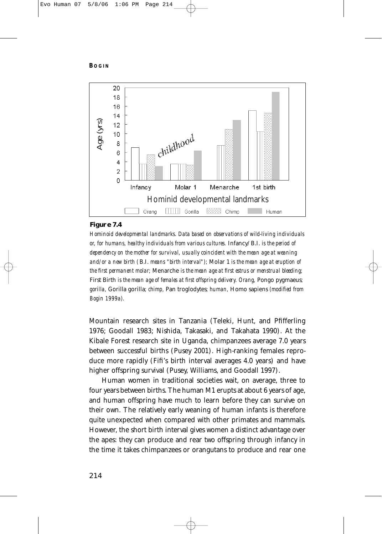



#### **Figure 7.4**

*Hominoid developmental landmarks. Data based on observations of wild-living individuals or, for humans, healthy individuals from various cultures.* Infancy/B.I. *is the period of dependency on the mother for survival, usually coincident with the mean age at weaning and/or a new birth (*B.I. *means "birth interval");* Molar 1 *is the mean age at eruption of the first permanent molar;* Menarche *is the mean age at first estrus or menstrual bleeding;* First Birth *is the mean age of females at first offspring delivery. Orang, Pongo pygmaeus; gorilla,* Gorilla gorilla*; chimp,* Pan troglodytes*; human,* Homo sapiens *(modified from Bogin 1999a).*

Mountain research sites in Tanzania (Teleki, Hunt, and Pfifferling 1976; Goodall 1983; Nishida, Takasaki, and Takahata 1990). At the Kibale Forest research site in Uganda, chimpanzees average 7.0 years between successful births (Pusey 2001). High-ranking females reproduce more rapidly (Fifi's birth interval averages 4.0 years) and have higher offspring survival (Pusey, Williams, and Goodall 1997).

Human women in traditional societies wait, on average, three to four years between births. The human M1 erupts at about 6 years of age, and human offspring have much to learn before they can survive on their own. The relatively early weaning of human infants is therefore quite unexpected when compared with other primates and mammals. However, the short birth interval gives women a distinct advantage over the apes: they can produce and rear two offspring through infancy in the time it takes chimpanzees or orangutans to produce and rear one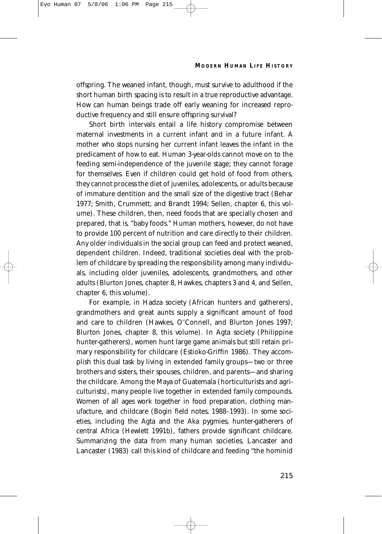offspring. The weaned infant, though, must survive to adulthood if the short human birth spacing is to result in a true reproductive advantage. How can human beings trade off early weaning for increased reproductive frequency and still ensure offspring survival?

Short birth intervals entail a life history compromise between maternal investments in a current infant and in a future infant. A mother who stops nursing her current infant leaves the infant in the predicament of how to eat. Human 3-year-olds cannot move on to the feeding semi-independence of the juvenile stage; they cannot forage for themselves. Even if children could get hold of food from others, they cannot process the diet of juveniles, adolescents, or adults because of immature dentition and the small size of the digestive tract (Behar 1977; Smith, Crummett, and Brandt 1994; Sellen, chapter 6, this volume). These children, then, need foods that are specially chosen and prepared, that is, "baby foods." Human mothers, however, do not have to provide 100 percent of nutrition and care directly to their children. Any older individuals in the social group can feed and protect weaned, dependent children. Indeed, traditional societies deal with the problem of childcare by spreading the responsibility among many individuals, including older juveniles, adolescents, grandmothers, and other adults (Blurton Jones, chapter 8, Hawkes, chapters 3 and 4, and Sellen, chapter 6, this volume).

For example, in Hadza society (African hunters and gatherers), grandmothers and great aunts supply a significant amount of food and care to children (Hawkes, O'Connell, and Blurton Jones 1997; Blurton Jones, chapter 8, this volume). In Agta society (Philippine hunter-gatherers), women hunt large game animals but still retain primary responsibility for childcare (Estioko-Griffin 1986). They accomplish this dual task by living in extended family groups—two or three brothers and sisters, their spouses, children, and parents—and sharing the childcare. Among the Maya of Guatemala (horticulturists and agriculturists), many people live together in extended family compounds. Women of all ages work together in food preparation, clothing manufacture, and childcare (Bogin field notes, 1988–1993). In some societies, including the Agta and the Aka pygmies, hunter-gatherers of central Africa (Hewlett 1991b), fathers provide significant childcare. Summarizing the data from many human societies, Lancaster and Lancaster (1983) call this kind of childcare and feeding "the hominid

215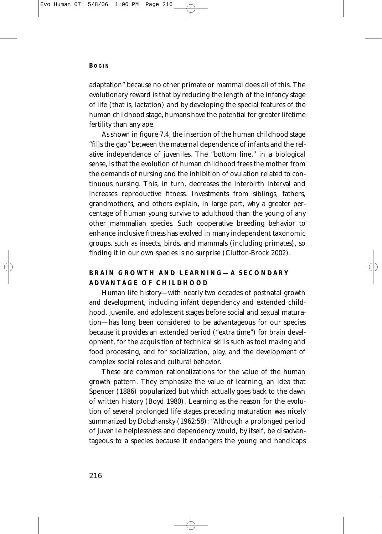adaptation" because no other primate or mammal does all of this. The evolutionary reward is that by reducing the length of the infancy stage of life (that is, lactation) and by developing the special features of the human childhood stage, humans have the potential for greater lifetime fertility than any ape.

As shown in figure 7.4, the insertion of the human childhood stage "fills the gap" between the maternal dependence of infants and the relative independence of juveniles. The "bottom line," in a biological sense, is that the evolution of human childhood frees the mother from the demands of nursing and the inhibition of ovulation related to continuous nursing. This, in turn, decreases the interbirth interval and increases reproductive fitness. Investments from siblings, fathers, grandmothers, and others explain, in large part, why a greater percentage of human young survive to adulthood than the young of any other mammalian species. Such cooperative breeding behavior to enhance inclusive fitness has evolved in many independent taxonomic groups, such as insects, birds, and mammals (including primates), so finding it in our own species is no surprise (Clutton-Brock 2002).

# **BRAIN GROWTH AND LEARNING—A SECONDARY ADVANTAGE OF CHILDHOOD**

Human life history—with nearly two decades of postnatal growth and development, including infant dependency and extended childhood, juvenile, and adolescent stages before social and sexual maturation—has long been considered to be advantageous for our species because it provides an extended period ("extra time") for brain development, for the acquisition of technical skills such as tool making and food processing, and for socialization, play, and the development of complex social roles and cultural behavior.

These are common rationalizations for the value of the human growth pattern. They emphasize the value of learning, an idea that Spencer (1886) popularized but which actually goes back to the dawn of written history (Boyd 1980). Learning as the reason for the evolution of several prolonged life stages preceding maturation was nicely summarized by Dobzhansky (1962:58): "Although a prolonged period of juvenile helplessness and dependency would, by itself, be disadvantageous to a species because it endangers the young and handicaps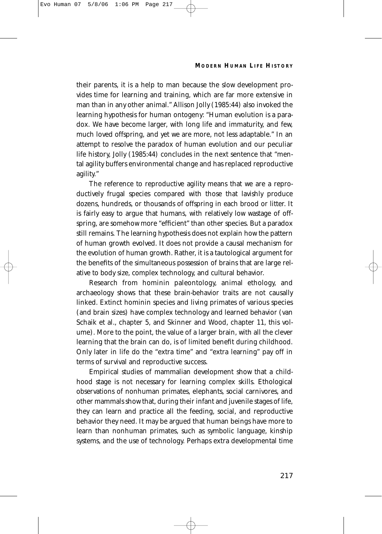their parents, it is a help to man because the slow development provides time for learning and training, which are far more extensive in man than in any other animal." Allison Jolly (1985:44) also invoked the learning hypothesis for human ontogeny: "Human evolution is a paradox. We have become larger, with long life and immaturity, and few, much loved offspring, and yet we are more, not less adaptable." In an attempt to resolve the paradox of human evolution and our peculiar life history, Jolly (1985:44) concludes in the next sentence that "mental agility buffers environmental change and has replaced reproductive agility."

Evo Human 07 5/8/06 1:06 PM Page 217

The reference to reproductive agility means that we are a reproductively frugal species compared with those that lavishly produce dozens, hundreds, or thousands of offspring in each brood or litter. It is fairly easy to argue that humans, with relatively low wastage of offspring, are somehow more "efficient" than other species. But a paradox still remains. The learning hypothesis does not explain how the pattern of human growth evolved. It does not provide a causal mechanism for the evolution of human growth. Rather, it is a tautological argument for the benefits of the simultaneous possession of brains that are large relative to body size, complex technology, and cultural behavior.

Research from hominin paleontology, animal ethology, and archaeology shows that these brain-behavior traits are not causally linked. Extinct hominin species and living primates of various species (and brain sizes) have complex technology and learned behavior (van Schaik et al., chapter 5, and Skinner and Wood, chapter 11, this volume). More to the point, the value of a larger brain, with all the clever learning that the brain can do, is of limited benefit during childhood. Only later in life do the "extra time" and "extra learning" pay off in terms of survival and reproductive success.

Empirical studies of mammalian development show that a childhood stage is not necessary for learning complex skills. Ethological observations of nonhuman primates, elephants, social carnivores, and other mammals show that, during their infant and juvenile stages of life, they can learn and practice all the feeding, social, and reproductive behavior they need. It may be argued that human beings have more to learn than nonhuman primates, such as symbolic language, kinship systems, and the use of technology. Perhaps extra developmental time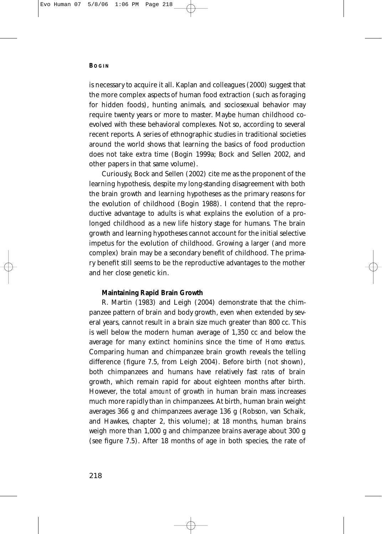is necessary to acquire it all. Kaplan and colleagues (2000) suggest that the more complex aspects of human food extraction (such as foraging for hidden foods), hunting animals, and sociosexual behavior may require twenty years or more to master. Maybe human childhood coevolved with these behavioral complexes. Not so, according to several recent reports. A series of ethnographic studies in traditional societies around the world shows that learning the basics of food production does not take extra time (Bogin 1999a; Bock and Sellen 2002, and other papers in that same volume).

Curiously, Bock and Sellen (2002) cite me as the proponent of the learning hypothesis, despite my long-standing disagreement with both the brain growth and learning hypotheses as the primary reasons for the evolution of childhood (Bogin 1988). I contend that the reproductive advantage to adults is what explains the evolution of a prolonged childhood as a new life history stage for humans. The brain growth and learning hypotheses cannot account for the initial selective impetus for the evolution of childhood. Growing a larger (and more complex) brain may be a secondary benefit of childhood. The primary benefit still seems to be the reproductive advantages to the mother and her close genetic kin.

## **Maintaining Rapid Brain Growth**

R. Martin (1983) and Leigh (2004) demonstrate that the chimpanzee pattern of brain and body growth, even when extended by several years, cannot result in a brain size much greater than 800 cc. This is well below the modern human average of 1,350 cc and below the average for many extinct hominins since the time of *Homo erectus*. Comparing human and chimpanzee brain growth reveals the telling difference (figure 7.5, from Leigh 2004). Before birth (not shown), both chimpanzees and humans have relatively fast *rates* of brain growth, which remain rapid for about eighteen months after birth. However, the total *amount* of growth in human brain mass increases much more rapidly than in chimpanzees. At birth, human brain weight averages 366 g and chimpanzees average 136 g (Robson, van Schaik, and Hawkes, chapter 2, this volume); at 18 months, human brains weigh more than 1,000 g and chimpanzee brains average about 300 g (see figure 7.5). After 18 months of age in both species, the rate of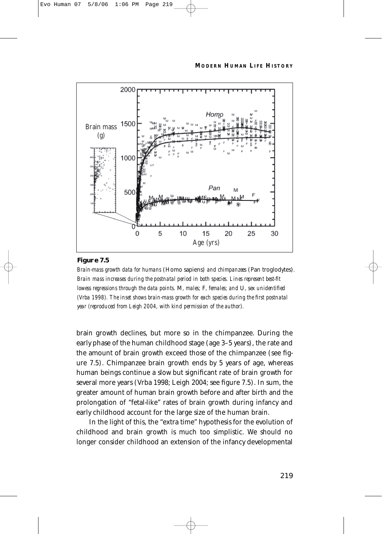**MODERN HUMAN LIFE HISTORY**



# **Figure 7.5**

*Brain-mass growth data for humans* (Homo sapiens) *and chimpanzees* (Pan troglodytes)*. Brain mass increases during the postnatal period in both species. Lines represent best-fit lowess regressions through the data points.* M*, males;* F*, females; and* U*, sex unidentified (Vrba 1998). The inset shows brain-mass growth for each species during the first postnatal year (reproduced from Leigh 2004, with kind permission of the author).*

brain growth declines, but more so in the chimpanzee. During the early phase of the human childhood stage (age 3–5 years), the rate and the amount of brain growth exceed those of the chimpanzee (see figure 7.5). Chimpanzee brain growth ends by 5 years of age, whereas human beings continue a slow but significant rate of brain growth for several more years (Vrba 1998; Leigh 2004; see figure 7.5). In sum, the greater amount of human brain growth before and after birth and the prolongation of "fetal-like" rates of brain growth during infancy and early childhood account for the large size of the human brain.

In the light of this, the "extra time" hypothesis for the evolution of childhood and brain growth is much too simplistic. We should no longer consider childhood an extension of the infancy developmental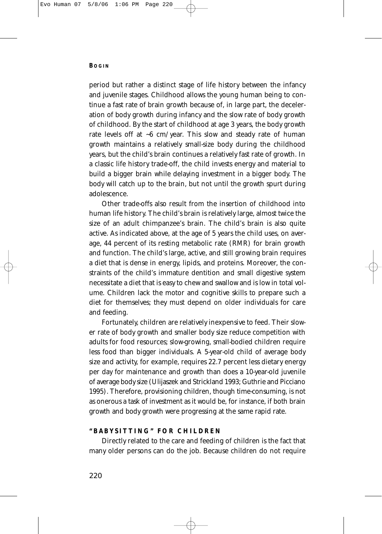period but rather a distinct stage of life history between the infancy and juvenile stages. Childhood allows the young human being to continue a fast rate of brain growth because of, in large part, the deceleration of body growth during infancy and the slow rate of body growth of childhood. By the start of childhood at age 3 years, the body growth rate levels off at ~6 cm/year. This slow and steady rate of human growth maintains a relatively small-size body during the childhood years, but the child's brain continues a relatively fast rate of growth. In a classic life history trade-off, the child invests energy and material to build a bigger brain while delaying investment in a bigger body. The body will catch up to the brain, but not until the growth spurt during adolescence.

Other trade-offs also result from the insertion of childhood into human life history. The child's brain is relatively large, almost twice the size of an adult chimpanzee's brain. The child's brain is also quite active. As indicated above, at the age of 5 years the child uses, on average, 44 percent of its resting metabolic rate (RMR) for brain growth and function. The child's large, active, and still growing brain requires a diet that is dense in energy, lipids, and proteins. Moreover, the constraints of the child's immature dentition and small digestive system necessitate a diet that is easy to chew and swallow and is low in total volume. Children lack the motor and cognitive skills to prepare such a diet for themselves; they must depend on older individuals for care and feeding.

Fortunately, children are relatively inexpensive to feed. Their slower rate of body growth and smaller body size reduce competition with adults for food resources; slow-growing, small-bodied children require less food than bigger individuals. A 5-year-old child of average body size and activity, for example, requires 22.7 percent less dietary energy per day for maintenance and growth than does a 10-year-old juvenile of average body size (Ulijaszek and Strickland 1993; Guthrie and Picciano 1995). Therefore, provisioning children, though time-consuming, is not as onerous a task of investment as it would be, for instance, if both brain growth and body growth were progressing at the same rapid rate.

#### **"BABYSITTING" FOR CHILDREN**

Directly related to the care and feeding of children is the fact that many older persons can do the job. Because children do not require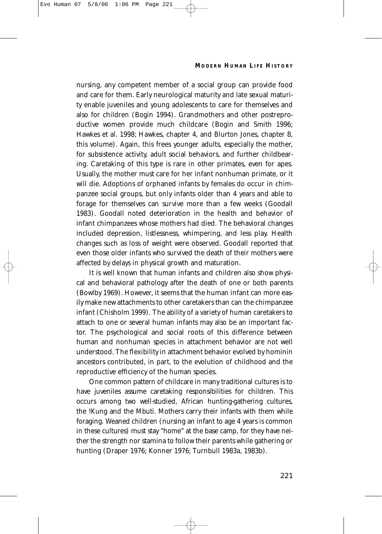nursing, any competent member of a social group can provide food and care for them. Early neurological maturity and late sexual maturity enable juveniles and young adolescents to care for themselves and also for children (Bogin 1994). Grandmothers and other postreproductive women provide much childcare (Bogin and Smith 1996; Hawkes et al. 1998; Hawkes, chapter 4, and Blurton Jones, chapter 8, this volume). Again, this frees younger adults, especially the mother, for subsistence activity, adult social behaviors, and further childbearing. Caretaking of this type is rare in other primates, even for apes. Usually, the mother must care for her infant nonhuman primate, or it will die. Adoptions of orphaned infants by females do occur in chimpanzee social groups, but only infants older than 4 years and able to forage for themselves can survive more than a few weeks (Goodall 1983). Goodall noted deterioration in the health and behavior of infant chimpanzees whose mothers had died. The behavioral changes included depression, listlessness, whimpering, and less play. Health changes such as loss of weight were observed. Goodall reported that even those older infants who survived the death of their mothers were affected by delays in physical growth and maturation.

It is well known that human infants and children also show physical and behavioral pathology after the death of one or both parents (Bowlby 1969). However, it seems that the human infant can more easily make new attachments to other caretakers than can the chimpanzee infant (Chisholm 1999). The ability of a variety of human caretakers to attach to one or several human infants may also be an important factor. The psychological and social roots of this difference between human and nonhuman species in attachment behavior are not well understood. The flexibility in attachment behavior evolved by hominin ancestors contributed, in part, to the evolution of childhood and the reproductive efficiency of the human species.

One common pattern of childcare in many traditional cultures is to have juveniles assume caretaking responsibilities for children. This occurs among two well-studied, African hunting-gathering cultures, the !Kung and the Mbuti. Mothers carry their infants with them while foraging. Weaned children (nursing an infant to age 4 years is common in these cultures) must stay "home" at the base camp, for they have neither the strength nor stamina to follow their parents while gathering or hunting (Draper 1976; Konner 1976; Turnbull 1983a, 1983b).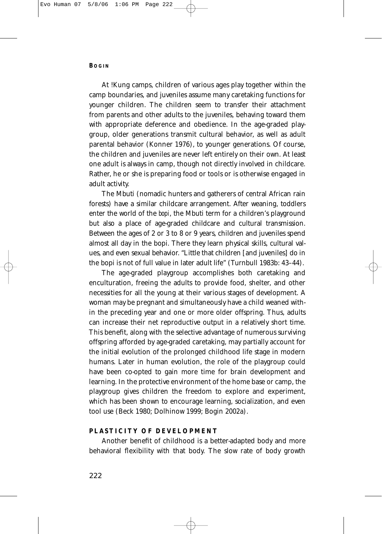At !Kung camps, children of various ages play together within the camp boundaries, and juveniles assume many caretaking functions for younger children. The children seem to transfer their attachment from parents and other adults to the juveniles, behaving toward them with appropriate deference and obedience. In the age-graded playgroup, older generations transmit cultural behavior, as well as adult parental behavior (Konner 1976), to younger generations. Of course, the children and juveniles are never left entirely on their own. At least one adult is always in camp, though not directly involved in childcare. Rather, he or she is preparing food or tools or is otherwise engaged in adult activity.

The Mbuti (nomadic hunters and gatherers of central African rain forests) have a similar childcare arrangement. After weaning, toddlers enter the world of the *bopi*, the Mbuti term for a children's playground but also a place of age-graded childcare and cultural transmission. Between the ages of 2 or 3 to 8 or 9 years, children and juveniles spend almost all day in the bopi. There they learn physical skills, cultural values, and even sexual behavior. "Little that children [and juveniles] do in the bopi is not of full value in later adult life" (Turnbull 1983b: 43–44).

The age-graded playgroup accomplishes both caretaking and enculturation, freeing the adults to provide food, shelter, and other necessities for all the young at their various stages of development. A woman may be pregnant and simultaneously have a child weaned within the preceding year and one or more older offspring. Thus, adults can increase their net reproductive output in a relatively short time. This benefit, along with the selective advantage of numerous surviving offspring afforded by age-graded caretaking, may partially account for the initial evolution of the prolonged childhood life stage in modern humans. Later in human evolution, the role of the playgroup could have been co-opted to gain more time for brain development and learning. In the protective environment of the home base or camp, the playgroup gives children the freedom to explore and experiment, which has been shown to encourage learning, socialization, and even tool use (Beck 1980; Dolhinow 1999; Bogin 2002a).

### **PLASTICITY OF DEVELOPMENT**

Another benefit of childhood is a better-adapted body and more behavioral flexibility with that body. The slow rate of body growth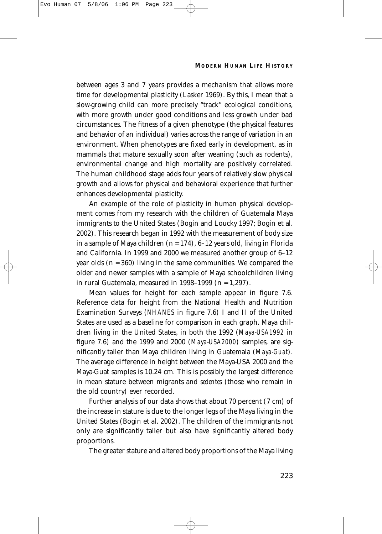between ages 3 and 7 years provides a mechanism that allows more time for developmental plasticity (Lasker 1969). By this, I mean that a slow-growing child can more precisely "track" ecological conditions, with more growth under good conditions and less growth under bad circumstances. The fitness of a given phenotype (the physical features and behavior of an individual) varies across the range of variation in an environment. When phenotypes are fixed early in development, as in mammals that mature sexually soon after weaning (such as rodents), environmental change and high mortality are positively correlated. The human childhood stage adds four years of relatively slow physical growth and allows for physical and behavioral experience that further enhances developmental plasticity.

Evo Human 07 5/8/06 1:06 PM Page 223

An example of the role of plasticity in human physical development comes from my research with the children of Guatemala Maya immigrants to the United States (Bogin and Loucky 1997; Bogin et al. 2002). This research began in 1992 with the measurement of body size in a sample of Maya children (n = 174), 6–12 years old, living in Florida and California. In 1999 and 2000 we measured another group of 6–12 year olds (n = 360) living in the same communities. We compared the older and newer samples with a sample of Maya schoolchildren living in rural Guatemala, measured in 1998–1999  $(n = 1,297)$ .

Mean values for height for each sample appear in figure 7.6. Reference data for height from the National Health and Nutrition Examination Surveys (*NHANES* in figure 7.6) I and II of the United States are used as a baseline for comparison in each graph. Maya children living in the United States, in both the 1992 (*Maya-USA1992* in figure 7.6) and the 1999 and 2000 (*Maya-USA2000*) samples, are significantly taller than Maya children living in Guatemala (*Maya-Guat*). The average difference in height between the Maya-USA 2000 and the Maya-Guat samples is 10.24 cm. This is possibly the largest difference in mean stature between migrants and *sedentes* (those who remain in the old country) ever recorded.

Further analysis of our data shows that about 70 percent (7 cm) of the increase in stature is due to the longer legs of the Maya living in the United States (Bogin et al. 2002). The children of the immigrants not only are significantly taller but also have significantly altered body proportions.

The greater stature and altered body proportions of the Maya living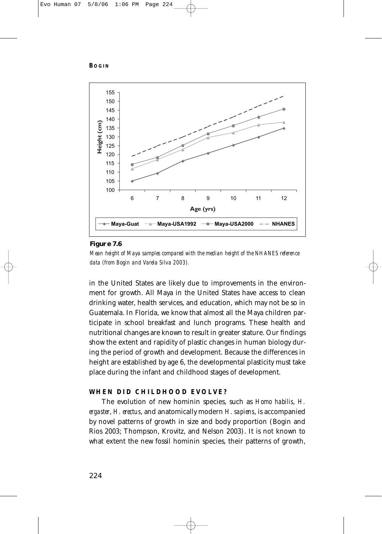



## **Figure 7.6**



in the United States are likely due to improvements in the environment for growth. All Maya in the United States have access to clean drinking water, health services, and education, which may not be so in Guatemala. In Florida, we know that almost all the Maya children participate in school breakfast and lunch programs. These health and nutritional changes are known to result in greater stature. Our findings show the extent and rapidity of plastic changes in human biology during the period of growth and development. Because the differences in height are established by age 6, the developmental plasticity must take place during the infant and childhood stages of development.

## **WHEN DID CHILDHOOD EVOLVE?**

The evolution of new hominin species, such as *Homo habilis*, *H. ergaster*, *H. erectus*, and anatomically modern *H. sapiens*, is accompanied by novel patterns of growth in size and body proportion (Bogin and Rios 2003; Thompson, Krovitz, and Nelson 2003). It is not known to what extent the new fossil hominin species, their patterns of growth,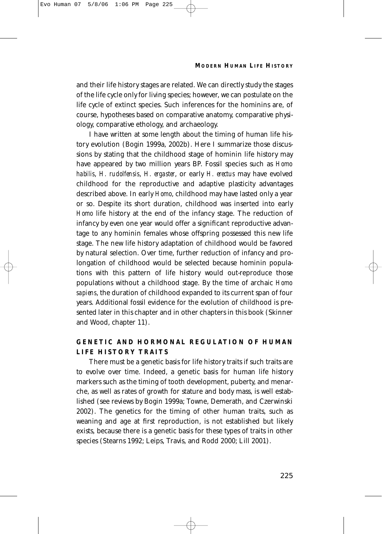and their life history stages are related. We can directly study the stages of the life cycle only for living species; however, we can postulate on the life cycle of extinct species. Such inferences for the hominins are, of course, hypotheses based on comparative anatomy, comparative physiology, comparative ethology, and archaeology.

I have written at some length about the timing of human life history evolution (Bogin 1999a, 2002b). Here I summarize those discussions by stating that the childhood stage of hominin life history may have appeared by two million years BP. Fossil species such as *Homo habilis*, *H. rudolfensis*, *H. ergaster*, or early *H. erectus* may have evolved childhood for the reproductive and adaptive plasticity advantages described above. In early *Homo*, childhood may have lasted only a year or so. Despite its short duration, childhood was inserted into early *Homo* life history at the end of the infancy stage. The reduction of infancy by even one year would offer a significant reproductive advantage to any hominin females whose offspring possessed this new life stage. The new life history adaptation of childhood would be favored by natural selection. Over time, further reduction of infancy and prolongation of childhood would be selected because hominin populations with this pattern of life history would out-reproduce those populations without a childhood stage. By the time of archaic *Homo sapiens*, the duration of childhood expanded to its current span of four years. Additional fossil evidence for the evolution of childhood is presented later in this chapter and in other chapters in this book (Skinner and Wood, chapter 11).

# **GENETIC AND HORMONAL REGULATION OF HUMAN LIFE HISTORY TRAITS**

There must be a genetic basis for life history traits if such traits are to evolve over time. Indeed, a genetic basis for human life history markers such as the timing of tooth development, puberty, and menarche, as well as rates of growth for stature and body mass, is well established (see reviews by Bogin 1999a; Towne, Demerath, and Czerwinski 2002). The genetics for the timing of other human traits, such as weaning and age at first reproduction, is not established but likely exists, because there is a genetic basis for these types of traits in other species (Stearns 1992; Leips, Travis, and Rodd 2000; Lill 2001).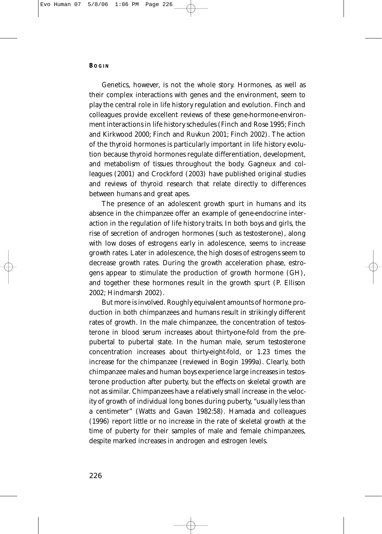Genetics, however, is not the whole story. Hormones, as well as their complex interactions with genes and the environment, seem to play the central role in life history regulation and evolution. Finch and colleagues provide excellent reviews of these gene-hormone-environment interactions in life history schedules (Finch and Rose 1995; Finch and Kirkwood 2000; Finch and Ruvkun 2001; Finch 2002). The action of the thyroid hormones is particularly important in life history evolution because thyroid hormones regulate differentiation, development, and metabolism of tissues throughout the body. Gagneux and colleagues (2001) and Crockford (2003) have published original studies and reviews of thyroid research that relate directly to differences between humans and great apes.

The presence of an adolescent growth spurt in humans and its absence in the chimpanzee offer an example of gene-endocrine interaction in the regulation of life history traits. In both boys and girls, the rise of secretion of androgen hormones (such as testosterone), along with low doses of estrogens early in adolescence, seems to increase growth rates. Later in adolescence, the high doses of estrogens seem to decrease growth rates. During the growth acceleration phase, estrogens appear to stimulate the production of growth hormone (GH), and together these hormones result in the growth spurt (P. Ellison 2002; Hindmarsh 2002).

But more is involved. Roughly equivalent amounts of hormone production in both chimpanzees and humans result in strikingly different rates of growth. In the male chimpanzee, the concentration of testosterone in blood serum increases about thirty-one-fold from the prepubertal to pubertal state. In the human male, serum testosterone concentration increases about thirty-eight-fold, or 1.23 times the increase for the chimpanzee (reviewed in Bogin 1999a). Clearly, both chimpanzee males and human boys experience large increases in testosterone production after puberty, but the effects on skeletal growth are not as similar. Chimpanzees have a relatively small increase in the velocity of growth of individual long bones during puberty, "usually less than a centimeter" (Watts and Gavan 1982:58). Hamada and colleagues (1996) report little or no increase in the rate of skeletal growth at the time of puberty for their samples of male and female chimpanzees, despite marked increases in androgen and estrogen levels.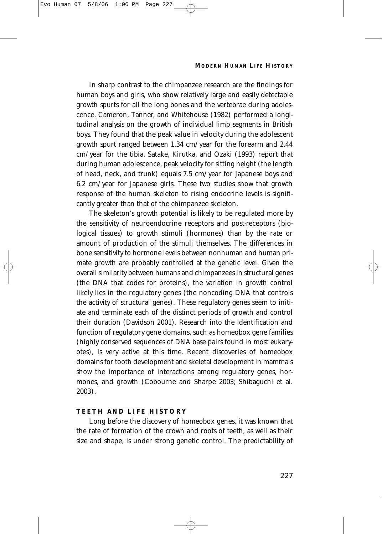#### Evo Human 07 5/8/06 1:06 PM

#### **MODERN HUMAN LIFE HISTORY**

In sharp contrast to the chimpanzee research are the findings for human boys and girls, who show relatively large and easily detectable growth spurts for all the long bones and the vertebrae during adolescence. Cameron, Tanner, and Whitehouse (1982) performed a longitudinal analysis on the growth of individual limb segments in British boys. They found that the peak value in velocity during the adolescent growth spurt ranged between 1.34 cm/year for the forearm and 2.44 cm/year for the tibia. Satake, Kirutka, and Ozaki (1993) report that during human adolescence, peak velocity for sitting height (the length of head, neck, and trunk) equals 7.5 cm/year for Japanese boys and 6.2 cm/year for Japanese girls. These two studies show that growth response of the human skeleton to rising endocrine levels is significantly greater than that of the chimpanzee skeleton.

The skeleton's growth potential is likely to be regulated more by the sensitivity of neuroendocrine receptors and post-receptors (biological tissues) to growth stimuli (hormones) than by the rate or amount of production of the stimuli themselves. The differences in bone sensitivity to hormone levels between nonhuman and human primate growth are probably controlled at the genetic level. Given the overall similarity between humans and chimpanzees in structural genes (the DNA that codes for proteins), the variation in growth control likely lies in the regulatory genes (the noncoding DNA that controls the activity of structural genes). These regulatory genes seem to initiate and terminate each of the distinct periods of growth and control their duration (Davidson 2001). Research into the identification and function of regulatory gene domains, such as homeobox gene families (highly conserved sequences of DNA base pairs found in most eukaryotes), is very active at this time. Recent discoveries of homeobox domains for tooth development and skeletal development in mammals show the importance of interactions among regulatory genes, hormones, and growth (Cobourne and Sharpe 2003; Shibaguchi et al. 2003).

## **TEETH AND LIFE HISTORY**

Long before the discovery of homeobox genes, it was known that the rate of formation of the crown and roots of teeth, as well as their size and shape, is under strong genetic control. The predictability of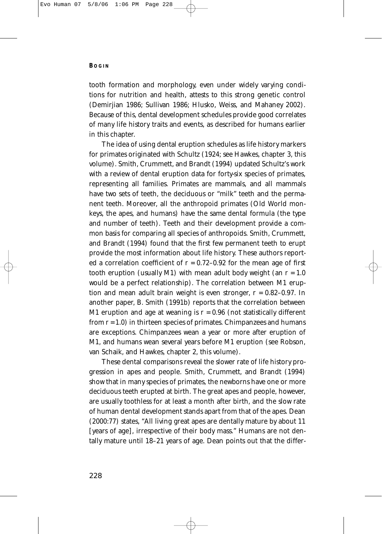tooth formation and morphology, even under widely varying conditions for nutrition and health, attests to this strong genetic control (Demirjian 1986; Sullivan 1986; Hlusko, Weiss, and Mahaney 2002). Because of this, dental development schedules provide good correlates of many life history traits and events, as described for humans earlier in this chapter.

The idea of using dental eruption schedules as life history markers for primates originated with Schultz (1924; see Hawkes, chapter 3, this volume). Smith, Crummett, and Brandt (1994) updated Schultz's work with a review of dental eruption data for forty-six species of primates, representing all families. Primates are mammals, and all mammals have two sets of teeth, the deciduous or "milk" teeth and the permanent teeth. Moreover, all the anthropoid primates (Old World monkeys, the apes, and humans) have the same dental formula (the type and number of teeth). Teeth and their development provide a common basis for comparing all species of anthropoids. Smith, Crummett, and Brandt (1994) found that the first few permanent teeth to erupt provide the most information about life history. These authors reported a correlation coefficient of  $r = 0.72 - 0.92$  for the mean age of first tooth eruption (usually M1) with mean adult body weight (an  $r = 1.0$ ) would be a perfect relationship). The correlation between M1 eruption and mean adult brain weight is even stronger, r = 0.82–0.97. In another paper, B. Smith (1991b) reports that the correlation between M1 eruption and age at weaning is  $r = 0.96$  (not statistically different from r = 1.0) in thirteen species of primates. Chimpanzees and humans are exceptions. Chimpanzees wean a year or more after eruption of M1, and humans wean several years before M1 eruption (see Robson, van Schaik, and Hawkes, chapter 2, this volume).

These dental comparisons reveal the slower rate of life history progression in apes and people. Smith, Crummett, and Brandt (1994) show that in many species of primates, the newborns have one or more deciduous teeth erupted at birth. The great apes and people, however, are usually toothless for at least a month after birth, and the slow rate of human dental development stands apart from that of the apes. Dean (2000:77) states, "All living great apes are dentally mature by about 11 [years of age], irrespective of their body mass." Humans are not dentally mature until 18–21 years of age. Dean points out that the differ-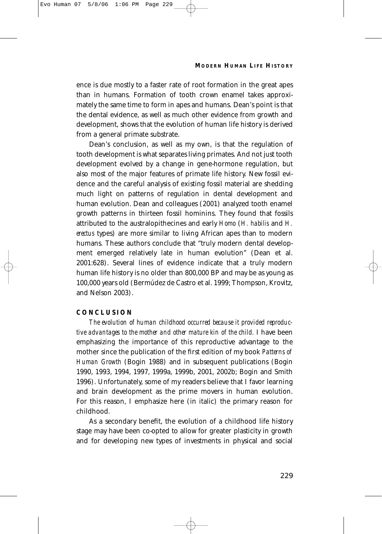ence is due mostly to a faster rate of root formation in the great apes than in humans. Formation of tooth crown enamel takes approximately the same time to form in apes and humans. Dean's point is that the dental evidence, as well as much other evidence from growth and development, shows that the evolution of human life history is derived from a general primate substrate.

Dean's conclusion, as well as my own, is that the regulation of tooth development is what separates living primates. And not just tooth development evolved by a change in gene-hormone regulation, but also most of the major features of primate life history. New fossil evidence and the careful analysis of existing fossil material are shedding much light on patterns of regulation in dental development and human evolution. Dean and colleagues (2001) analyzed tooth enamel growth patterns in thirteen fossil hominins. They found that fossils attributed to the australopithecines and early *Homo* (*H. habilis* and *H. erectus* types) are more similar to living African apes than to modern humans. These authors conclude that "truly modern dental development emerged relatively late in human evolution" (Dean et al. 2001:628). Several lines of evidence indicate that a truly modern human life history is no older than 800,000 BP and may be as young as 100,000 years old (Bermúdez de Castro et al. 1999; Thompson, Krovitz, and Nelson 2003).

# **CONCLUSION**

Evo Human 07 5/8/06 1:06 PM Page 229

*The evolution of human childhood occurred because it provided reproductive advantages to the mother and other mature kin of the child.* I have been emphasizing the importance of this reproductive advantage to the mother since the publication of the first edition of my book *Patterns of Human Growth* (Bogin 1988) and in subsequent publications (Bogin 1990, 1993, 1994, 1997, 1999a, 1999b, 2001, 2002b; Bogin and Smith 1996). Unfortunately, some of my readers believe that I favor learning and brain development as the prime movers in human evolution. For this reason, I emphasize here (in italic) the primary reason for childhood.

As a secondary benefit, the evolution of a childhood life history stage may have been co-opted to allow for greater plasticity in growth and for developing new types of investments in physical and social